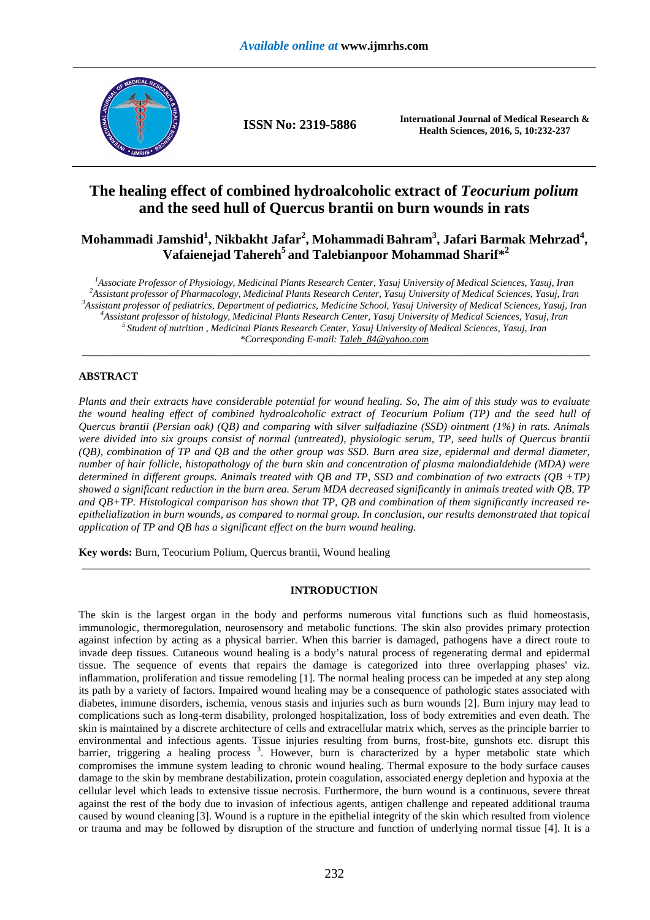

**ISSN No: 2319-5886 International Journal of Medical Research &** <br>**ISSN No: 2319-5886 INCLU** S **international 2016 5:40,000 007 Health Sciences, 2016, 5, 10:232-237**

# **The healing effect of combined hydroalcoholic extract of** *Teocurium polium* **and the seed hull of Quercus brantii on burn wounds in rats**

**Mohammadi Jamshid<sup>1</sup> , Nikbakht Jafar<sup>2</sup> , Mohammadi Bahram<sup>3</sup> , Jafari Barmak Mehrzad<sup>4</sup> , Vafaienejad Tahereh<sup>5</sup>and Talebianpoor Mohammad Sharif\*<sup>2</sup>**

*Associate Professor of Physiology, Medicinal Plants Research Center, Yasuj University of Medical Sciences, Yasuj, Iran Assistant professor of Pharmacology, Medicinal Plants Research Center, Yasuj University of Medical Sciences, Yasuj, Iran Assistant professor of pediatrics, Department of pediatrics, Medicine School, Yasuj University of Medical Sciences, Yasuj, Iran Assistant professor of histology, Medicinal Plants Research Center, Yasuj University of Medical Sciences, Yasuj, Iran Student of nutrition , Medicinal Plants Research Center, Yasuj University of Medical Sciences, Yasuj, Iran \*Corresponding E-mail: Taleb\_84@yahoo.com* 

\_\_\_\_\_\_\_\_\_\_\_\_\_\_\_\_\_\_\_\_\_\_\_\_\_\_\_\_\_\_\_\_\_\_\_\_\_\_\_\_\_\_\_\_\_\_\_\_\_\_\_\_\_\_\_\_\_\_\_\_\_\_\_\_\_\_\_\_\_\_\_\_\_\_\_\_\_\_\_\_\_\_\_\_\_\_\_\_\_\_\_\_\_

# **ABSTRACT**

*Plants and their extracts have considerable potential for wound healing. So, The aim of this study was to evaluate the wound healing effect of combined hydroalcoholic extract of Teocurium Polium (TP) and the seed hull of Quercus brantii (Persian oak) (QB) and comparing with silver sulfadiazine (SSD) ointment (1%) in rats. Animals were divided into six groups consist of normal (untreated), physiologic serum, TP, seed hulls of Quercus brantii (QB), combination of TP and QB and the other group was SSD. Burn area size, epidermal and dermal diameter, number of hair follicle, histopathology of the burn skin and concentration of plasma malondialdehide (MDA) were determined in different groups. Animals treated with QB and TP, SSD and combination of two extracts (QB +TP) showed a significant reduction in the burn area. Serum MDA decreased significantly in animals treated with QB, TP and QB+TP. Histological comparison has shown that TP, QB and combination of them significantly increased reepithelialization in burn wounds, as compared to normal group. In conclusion, our results demonstrated that topical application of TP and QB has a significant effect on the burn wound healing.* 

**Key words:** Burn, Teocurium Polium, Quercus brantii, Wound healing

# **INTRODUCTION**

\_\_\_\_\_\_\_\_\_\_\_\_\_\_\_\_\_\_\_\_\_\_\_\_\_\_\_\_\_\_\_\_\_\_\_\_\_\_\_\_\_\_\_\_\_\_\_\_\_\_\_\_\_\_\_\_\_\_\_\_\_\_\_\_\_\_\_\_\_\_\_\_\_\_\_\_\_\_\_\_\_\_\_\_\_\_\_\_\_\_\_\_\_

The skin is the largest organ in the body and performs numerous vital functions such as fluid homeostasis, immunologic, thermoregulation, neurosensory and metabolic functions. The skin also provides primary protection against infection by acting as a physical barrier. When this barrier is damaged, pathogens have a direct route to invade deep tissues. Cutaneous wound healing is a body's natural process of regenerating dermal and epidermal tissue. The sequence of events that repairs the damage is categorized into three overlapping phases' viz. inflammation, proliferation and tissue remodeling [1]. The normal healing process can be impeded at any step along its path by a variety of factors. Impaired wound healing may be a consequence of pathologic states associated with diabetes, immune disorders, ischemia, venous stasis and injuries such as burn wounds [2]. Burn injury may lead to complications such as long-term disability, prolonged hospitalization, loss of body extremities and even death. The skin is maintained by a discrete architecture of cells and extracellular matrix which, serves as the principle barrier to environmental and infectious agents. Tissue injuries resulting from burns, frost-bite, gunshots etc. disrupt this barrier, triggering a healing process<sup>3</sup>. However, burn is characterized by a hyper metabolic state which compromises the immune system leading to chronic wound healing. Thermal exposure to the body surface causes damage to the skin by membrane destabilization, protein coagulation, associated energy depletion and hypoxia at the cellular level which leads to extensive tissue necrosis. Furthermore, the burn wound is a continuous, severe threat against the rest of the body due to invasion of infectious agents, antigen challenge and repeated additional trauma caused by wound cleaning [3]. Wound is a rupture in the epithelial integrity of the skin which resulted from violence or trauma and may be followed by disruption of the structure and function of underlying normal tissue [4]. It is a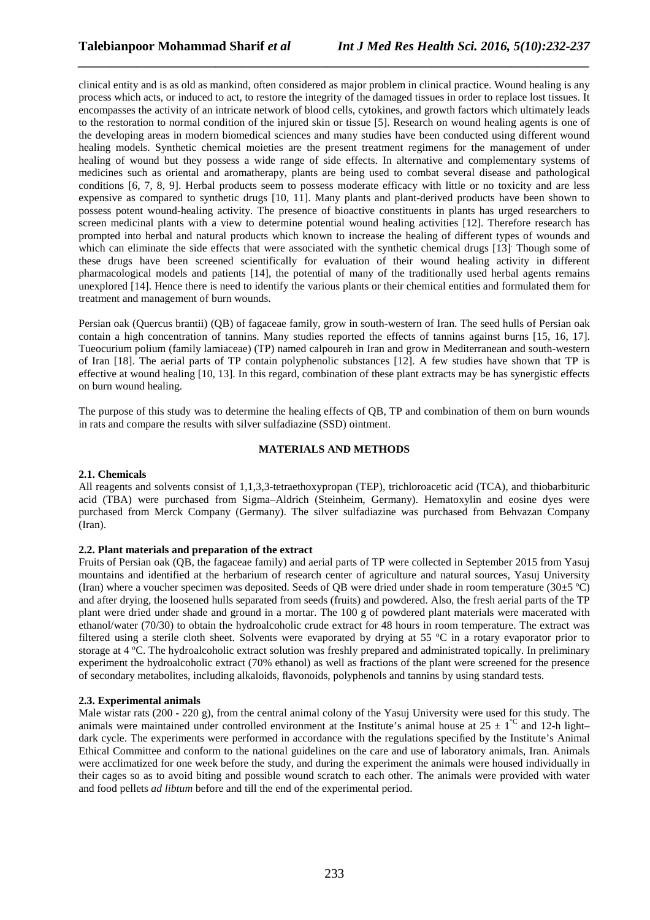clinical entity and is as old as mankind, often considered as major problem in clinical practice. Wound healing is any process which acts, or induced to act, to restore the integrity of the damaged tissues in order to replace lost tissues. It encompasses the activity of an intricate network of blood cells, cytokines, and growth factors which ultimately leads to the restoration to normal condition of the injured skin or tissue [5]. Research on wound healing agents is one of the developing areas in modern biomedical sciences and many studies have been conducted using different wound healing models. Synthetic chemical moieties are the present treatment regimens for the management of under healing of wound but they possess a wide range of side effects. In alternative and complementary systems of medicines such as oriental and aromatherapy, plants are being used to combat several disease and pathological conditions [6, 7, 8, 9]. Herbal products seem to possess moderate efficacy with little or no toxicity and are less expensive as compared to synthetic drugs [10, 11]. Many plants and plant-derived products have been shown to possess potent wound-healing activity. The presence of bioactive constituents in plants has urged researchers to screen medicinal plants with a view to determine potential wound healing activities [12]. Therefore research has prompted into herbal and natural products which known to increase the healing of different types of wounds and which can eliminate the side effects that were associated with the synthetic chemical drugs [13] Though some of these drugs have been screened scientifically for evaluation of their wound healing activity in different pharmacological models and patients [14], the potential of many of the traditionally used herbal agents remains unexplored [14]. Hence there is need to identify the various plants or their chemical entities and formulated them for treatment and management of burn wounds.

*\_\_\_\_\_\_\_\_\_\_\_\_\_\_\_\_\_\_\_\_\_\_\_\_\_\_\_\_\_\_\_\_\_\_\_\_\_\_\_\_\_\_\_\_\_\_\_\_\_\_\_\_\_\_\_\_\_\_\_\_\_\_\_\_\_\_\_\_\_\_\_\_\_\_\_\_\_\_*

Persian oak (Quercus brantii) (QB) of fagaceae family, grow in south-western of Iran. The seed hulls of Persian oak contain a high concentration of tannins. Many studies reported the effects of tannins against burns [15, 16, 17]. Tueocurium polium (family lamiaceae) (TP) named calpoureh in Iran and grow in Mediterranean and south-western of Iran [18]. The aerial parts of TP contain polyphenolic substances [12]. A few studies have shown that TP is effective at wound healing [10, 13]. In this regard, combination of these plant extracts may be has synergistic effects on burn wound healing.

The purpose of this study was to determine the healing effects of QB, TP and combination of them on burn wounds in rats and compare the results with silver sulfadiazine (SSD) ointment.

# **MATERIALS AND METHODS**

#### **2.1. Chemicals**

All reagents and solvents consist of 1,1,3,3-tetraethoxypropan (TEP), trichloroacetic acid (TCA), and thiobarbituric acid (TBA) were purchased from Sigma–Aldrich (Steinheim, Germany). Hematoxylin and eosine dyes were purchased from Merck Company (Germany). The silver sulfadiazine was purchased from Behvazan Company (Iran).

#### **2.2. Plant materials and preparation of the extract**

Fruits of Persian oak (QB, the fagaceae family) and aerial parts of TP were collected in September 2015 from Yasuj mountains and identified at the herbarium of research center of agriculture and natural sources, Yasuj University (Iran) where a voucher specimen was deposited. Seeds of QB were dried under shade in room temperature (30±5 ºC) and after drying, the loosened hulls separated from seeds (fruits) and powdered. Also, the fresh aerial parts of the TP plant were dried under shade and ground in a mortar. The 100 g of powdered plant materials were macerated with ethanol/water (70/30) to obtain the hydroalcoholic crude extract for 48 hours in room temperature. The extract was filtered using a sterile cloth sheet. Solvents were evaporated by drying at 55 ºC in a rotary evaporator prior to storage at 4 ºC. The hydroalcoholic extract solution was freshly prepared and administrated topically. In preliminary experiment the hydroalcoholic extract (70% ethanol) as well as fractions of the plant were screened for the presence of secondary metabolites, including alkaloids, flavonoids, polyphenols and tannins by using standard tests.

#### **2.3. Experimental animals**

Male wistar rats (200 - 220 g), from the central animal colony of the Yasuj University were used for this study. The animals were maintained under controlled environment at the Institute's animal house at  $25 \pm 1^{\degree}$  and 12-h light– dark cycle. The experiments were performed in accordance with the regulations specified by the Institute's Animal Ethical Committee and conform to the national guidelines on the care and use of laboratory animals, Iran. Animals were acclimatized for one week before the study, and during the experiment the animals were housed individually in their cages so as to avoid biting and possible wound scratch to each other. The animals were provided with water and food pellets *ad libtum* before and till the end of the experimental period.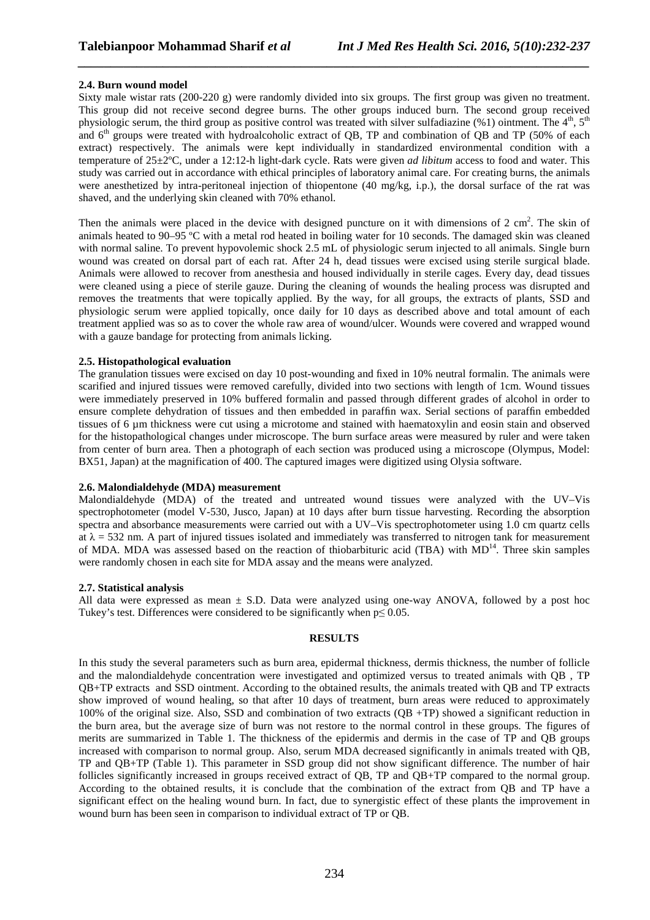## **2.4. Burn wound model**

Sixty male wistar rats (200-220 g) were randomly divided into six groups. The first group was given no treatment. This group did not receive second degree burns. The other groups induced burn. The second group received physiologic serum, the third group as positive control was treated with silver sulfadiazine (%1) ointment. The 4<sup>th</sup>, 5<sup>th</sup> and 6<sup>th</sup> groups were treated with hydroalcoholic extract of QB, TP and combination of QB and TP (50% of each extract) respectively. The animals were kept individually in standardized environmental condition with a temperature of 25±2ºC, under a 12:12-h light-dark cycle. Rats were given *ad libitum* access to food and water. This study was carried out in accordance with ethical principles of laboratory animal care. For creating burns, the animals were anesthetized by intra-peritoneal injection of thiopentone (40 mg/kg, i.p.), the dorsal surface of the rat was shaved, and the underlying skin cleaned with 70% ethanol.

*\_\_\_\_\_\_\_\_\_\_\_\_\_\_\_\_\_\_\_\_\_\_\_\_\_\_\_\_\_\_\_\_\_\_\_\_\_\_\_\_\_\_\_\_\_\_\_\_\_\_\_\_\_\_\_\_\_\_\_\_\_\_\_\_\_\_\_\_\_\_\_\_\_\_\_\_\_\_*

Then the animals were placed in the device with designed puncture on it with dimensions of  $2 \text{ cm}^2$ . The skin of animals heated to 90–95 ºC with a metal rod heated in boiling water for 10 seconds. The damaged skin was cleaned with normal saline. To prevent hypovolemic shock 2.5 mL of physiologic serum injected to all animals. Single burn wound was created on dorsal part of each rat. After 24 h, dead tissues were excised using sterile surgical blade. Animals were allowed to recover from anesthesia and housed individually in sterile cages. Every day, dead tissues were cleaned using a piece of sterile gauze. During the cleaning of wounds the healing process was disrupted and removes the treatments that were topically applied. By the way, for all groups, the extracts of plants, SSD and physiologic serum were applied topically, once daily for 10 days as described above and total amount of each treatment applied was so as to cover the whole raw area of wound/ulcer. Wounds were covered and wrapped wound with a gauze bandage for protecting from animals licking.

# **2.5. Histopathological evaluation**

The granulation tissues were excised on day 10 post-wounding and fixed in 10% neutral formalin. The animals were scarified and injured tissues were removed carefully, divided into two sections with length of 1cm. Wound tissues were immediately preserved in 10% buffered formalin and passed through different grades of alcohol in order to ensure complete dehydration of tissues and then embedded in paraffin wax. Serial sections of paraffin embedded tissues of 6 µm thickness were cut using a microtome and stained with haematoxylin and eosin stain and observed for the histopathological changes under microscope. The burn surface areas were measured by ruler and were taken from center of burn area. Then a photograph of each section was produced using a microscope (Olympus, Model: BX51, Japan) at the magnification of 400. The captured images were digitized using Olysia software.

## **2.6. Malondialdehyde (MDA) measurement**

Malondialdehyde (MDA) of the treated and untreated wound tissues were analyzed with the UV–Vis spectrophotometer (model V-530, Jusco, Japan) at 10 days after burn tissue harvesting. Recording the absorption spectra and absorbance measurements were carried out with a UV–Vis spectrophotometer using 1.0 cm quartz cells at  $\lambda$  = 532 nm. A part of injured tissues isolated and immediately was transferred to nitrogen tank for measurement of MDA. MDA was assessed based on the reaction of thiobarbituric acid (TBA) with  $MD<sup>14</sup>$ . Three skin samples were randomly chosen in each site for MDA assay and the means were analyzed.

#### **2.7. Statistical analysis**

All data were expressed as mean ± S.D. Data were analyzed using one-way ANOVA, followed by a post hoc Tukey's test. Differences were considered to be significantly when  $p \leq 0.05$ .

# **RESULTS**

In this study the several parameters such as burn area, epidermal thickness, dermis thickness, the number of follicle and the malondialdehyde concentration were investigated and optimized versus to treated animals with QB , TP QB+TP extracts and SSD ointment. According to the obtained results, the animals treated with QB and TP extracts show improved of wound healing, so that after 10 days of treatment, burn areas were reduced to approximately 100% of the original size. Also, SSD and combination of two extracts (QB +TP) showed a significant reduction in the burn area, but the average size of burn was not restore to the normal control in these groups. The figures of merits are summarized in Table 1. The thickness of the epidermis and dermis in the case of TP and QB groups increased with comparison to normal group. Also, serum MDA decreased significantly in animals treated with QB, TP and QB+TP (Table 1). This parameter in SSD group did not show significant difference. The number of hair follicles significantly increased in groups received extract of QB, TP and QB+TP compared to the normal group. According to the obtained results, it is conclude that the combination of the extract from QB and TP have a significant effect on the healing wound burn. In fact, due to synergistic effect of these plants the improvement in wound burn has been seen in comparison to individual extract of TP or QB.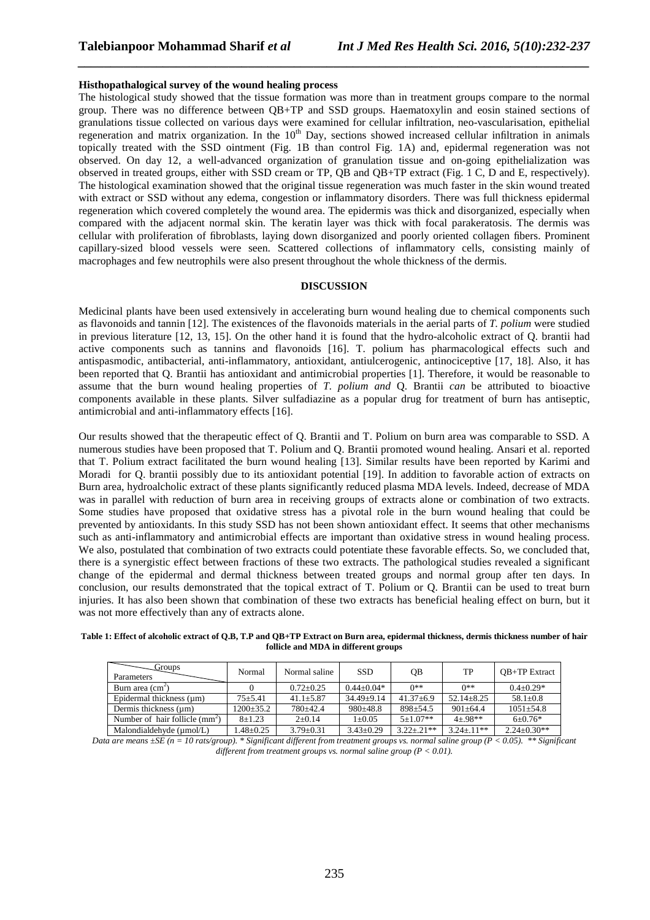#### **Histhopathalogical survey of the wound healing process**

The histological study showed that the tissue formation was more than in treatment groups compare to the normal group. There was no difference between QB+TP and SSD groups. Haematoxylin and eosin stained sections of granulations tissue collected on various days were examined for cellular infiltration, neo-vascularisation, epithelial regeneration and matrix organization. In the  $10<sup>th</sup>$  Day, sections showed increased cellular infiltration in animals topically treated with the SSD ointment (Fig. 1B than control Fig. 1A) and, epidermal regeneration was not observed. On day 12, a well-advanced organization of granulation tissue and on-going epithelialization was observed in treated groups, either with SSD cream or TP, QB and QB+TP extract (Fig. 1 C, D and E, respectively). The histological examination showed that the original tissue regeneration was much faster in the skin wound treated with extract or SSD without any edema, congestion or inflammatory disorders. There was full thickness epidermal regeneration which covered completely the wound area. The epidermis was thick and disorganized, especially when compared with the adjacent normal skin. The keratin layer was thick with focal parakeratosis. The dermis was cellular with proliferation of fibroblasts, laying down disorganized and poorly oriented collagen fibers. Prominent capillary-sized blood vessels were seen. Scattered collections of inflammatory cells, consisting mainly of macrophages and few neutrophils were also present throughout the whole thickness of the dermis.

*\_\_\_\_\_\_\_\_\_\_\_\_\_\_\_\_\_\_\_\_\_\_\_\_\_\_\_\_\_\_\_\_\_\_\_\_\_\_\_\_\_\_\_\_\_\_\_\_\_\_\_\_\_\_\_\_\_\_\_\_\_\_\_\_\_\_\_\_\_\_\_\_\_\_\_\_\_\_*

## **DISCUSSION**

Medicinal plants have been used extensively in accelerating burn wound healing due to chemical components such as flavonoids and tannin [12]. The existences of the flavonoids materials in the aerial parts of *T. polium* were studied in previous literature [12, 13, 15]. On the other hand it is found that the hydro-alcoholic extract of Q. brantii had active components such as tannins and flavonoids [16]. T. polium has pharmacological effects such and antispasmodic, antibacterial, anti-inflammatory, antioxidant, antiulcerogenic, antinociceptive [17, 18]. Also, it has been reported that Q. Brantii has antioxidant and antimicrobial properties [1]. Therefore, it would be reasonable to assume that the burn wound healing properties of *T. polium and* Q. Brantii *can* be attributed to bioactive components available in these plants. Silver sulfadiazine as a popular drug for treatment of burn has antiseptic, antimicrobial and anti-inflammatory effects [16].

Our results showed that the therapeutic effect of Q. Brantii and T. Polium on burn area was comparable to SSD. A numerous studies have been proposed that T. Polium and Q. Brantii promoted wound healing. Ansari et al. reported that T. Polium extract facilitated the burn wound healing [13]. Similar results have been reported by Karimi and Moradi for Q. brantii possibly due to its antioxidant potential [19]. In addition to favorable action of extracts on Burn area, hydroalcholic extract of these plants significantly reduced plasma MDA levels. Indeed, decrease of MDA was in parallel with reduction of burn area in receiving groups of extracts alone or combination of two extracts. Some studies have proposed that oxidative stress has a pivotal role in the burn wound healing that could be prevented by antioxidants. In this study SSD has not been shown antioxidant effect. It seems that other mechanisms such as anti-inflammatory and antimicrobial effects are important than oxidative stress in wound healing process. We also, postulated that combination of two extracts could potentiate these favorable effects. So, we concluded that, there is a synergistic effect between fractions of these two extracts. The pathological studies revealed a significant change of the epidermal and dermal thickness between treated groups and normal group after ten days. In conclusion, our results demonstrated that the topical extract of T. Polium or Q. Brantii can be used to treat burn injuries. It has also been shown that combination of these two extracts has beneficial healing effect on burn, but it was not more effectively than any of extracts alone.

**Table 1: Effect of alcoholic extract of Q.B, T.P and QB+TP Extract on Burn area, epidermal thickness, dermis thickness number of hair follicle and MDA in different groups** 

| Groups<br>Parameters             | Normal         | Normal saline   | <b>SSD</b>      | <b>OB</b>        | TP                | <b>OB+TP</b> Extract |
|----------------------------------|----------------|-----------------|-----------------|------------------|-------------------|----------------------|
| Burn area $(cm2)$                |                | $0.72 + 0.25$   | $0.44 + 0.04*$  | $0**$            | ∩**               | $0.4 + 0.29*$        |
| Epidermal thickness (um)         | $75 + 5.41$    | $41.1 + 5.87$   | $34.49 + 9.14$  | $41.37 + 6.9$    | $52.14 + 8.25$    | $58.1 \pm 0.8$       |
| Dermis thickness (um)            | $1200+35.2$    | $780+42.4$      | $980+48.8$      | $898 + 54.5$     | $901 + 64.4$      | $1051 + 54.8$        |
| Number of hair follicle $(mm^2)$ | $8+1.23$       | $2+0.14$        | $1 \pm 0.05$    | $5+1.07**$       | $4 + 98$ **       | $6+0.76*$            |
| Malondialdehyde (µmol/L)         | $.48 \pm 0.25$ | $3.79 \pm 0.31$ | $3.43 \pm 0.29$ | $3.22 \pm .21**$ | $3.24 \pm 0.11**$ | $2.24 \pm 0.30**$    |

*Data are means ±SE (n = 10 rats/group). \* Significant different from treatment groups vs. normal saline group (P < 0.05). \*\* Significant different from treatment groups vs. normal saline group (P < 0.01).*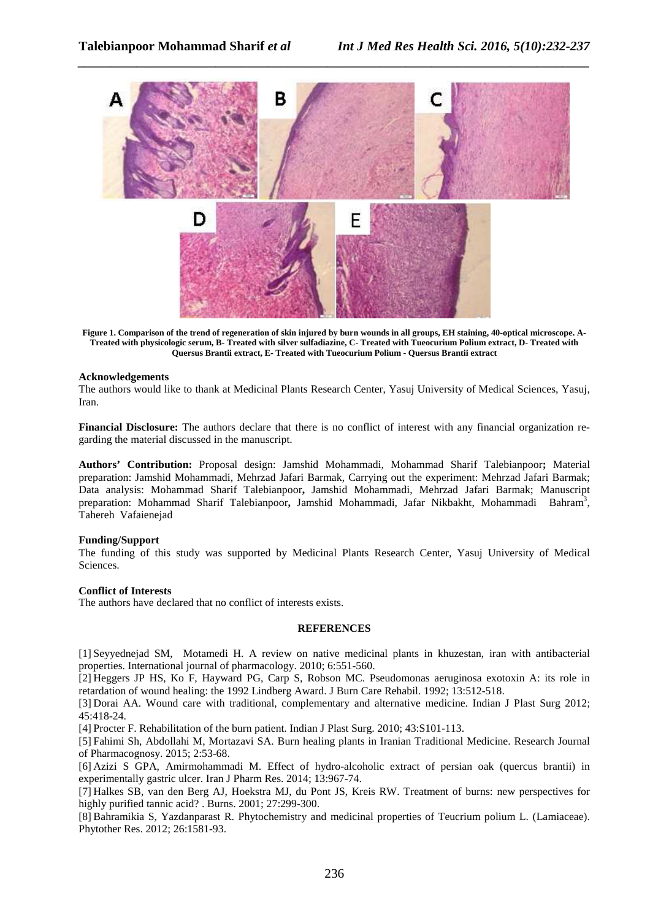

**Figure 1. Comparison of the trend of regeneration of skin injured by burn wounds in all groups, EH staining, 40-optical microscope. A-Treated with physicologic serum, B- Treated with silver sulfadiazine, C- Treated with Tueocurium Polium extract, D- Treated with Quersus Brantii extract, E- Treated with Tueocurium Polium - Quersus Brantii extract** 

# **Acknowledgements**

The authors would like to thank at Medicinal Plants Research Center, Yasuj University of Medical Sciences, Yasuj, Iran.

**Financial Disclosure:** The authors declare that there is no conflict of interest with any financial organization regarding the material discussed in the manuscript.

**Authors' Contribution:** Proposal design: Jamshid Mohammadi, Mohammad Sharif Talebianpoor**;** Material preparation: Jamshid Mohammadi, Mehrzad Jafari Barmak, Carrying out the experiment: Mehrzad Jafari Barmak; Data analysis: Mohammad Sharif Talebianpoor**,** Jamshid Mohammadi, Mehrzad Jafari Barmak; Manuscript preparation: Mohammad Sharif Talebianpoor**,** Jamshid Mohammadi, Jafar Nikbakht, Mohammadi Bahram 3 , Tahereh Vafaienejad

#### **Funding/Support**

The funding of this study was supported by Medicinal Plants Research Center, Yasuj University of Medical Sciences.

# **Conflict of Interests**

The authors have declared that no conflict of interests exists.

# **REFERENCES**

[1] Seyyednejad SM, Motamedi H. A review on native medicinal plants in khuzestan, iran with antibacterial properties. International journal of pharmacology. 2010; 6:551-560.

[2] Heggers JP HS, Ko F, Hayward PG, Carp S, Robson MC. Pseudomonas aeruginosa exotoxin A: its role in retardation of wound healing: the 1992 Lindberg Award. J Burn Care Rehabil. 1992; 13:512-518.

[3] Dorai AA. Wound care with traditional, complementary and alternative medicine. Indian J Plast Surg 2012; 45:418-24.

[4] Procter F. Rehabilitation of the burn patient. Indian J Plast Surg. 2010; 43:S101-113.

[5] Fahimi Sh, Abdollahi M, Mortazavi SA. Burn healing plants in Iranian Traditional Medicine. Research Journal of Pharmacognosy. 2015; 2:53-68.

[6] Azizi S GPA, Amirmohammadi M. Effect of hydro-alcoholic extract of persian oak (quercus brantii) in experimentally gastric ulcer. Iran J Pharm Res. 2014; 13:967-74.

[7] Halkes SB, van den Berg AJ, Hoekstra MJ, du Pont JS, Kreis RW. Treatment of burns: new perspectives for highly purified tannic acid? . Burns. 2001; 27:299-300.

[8] Bahramikia S, Yazdanparast R. Phytochemistry and medicinal properties of Teucrium polium L. (Lamiaceae). Phytother Res. 2012; 26:1581-93.